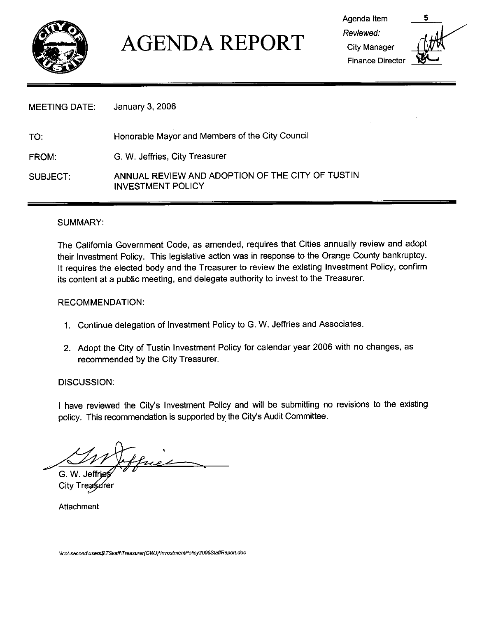

# AGENDA REPORT

Agenda Item Reviewed: **City Manager Finance Director** 



MEETING DATE: January 3, 2006

TO: Honorable Mayor and Members of the City Council

G. W. Jeffries, City Treasurer FROM

SUBJECT: ANNUAL REVIEW AND ADOPTION OF THE CITY OF TUSTIN INVESTMENT POLICY

#### SUMMARY

The California Government Code, as amended, requires that Cities annually review and adopt their Investment Policy. This legislative action was in response to the Orange County bankruptcy. It requires the elected body and the Treasurer to review the existing Investment Policy, confirm its content at a public meeting, and delegate authority to invest to the Treasurer.

#### RECOMMENDATION

- 1. Continue delegation of Investment Policy to G. W. Jeffries and Associates.
- 2. Adopt the City of Tustin Investment Policy for calendar year 2006 with no changes, as recommended by the City Treasurer

DISCUSSION:

DISCUSSION:<br>I have reviewed the City's Investment Policy and will be submitting no revisions to the existing<br>policy. This recommendation is supported by the City's Audit Committee. I have reviewed the City's Investment Policy and wi<br>policy. This recommendation is supported by the City's policy. This recommendation is supported by the City's Audit Committee.

ffuer G. W. Jeff

City Treasure

Attachment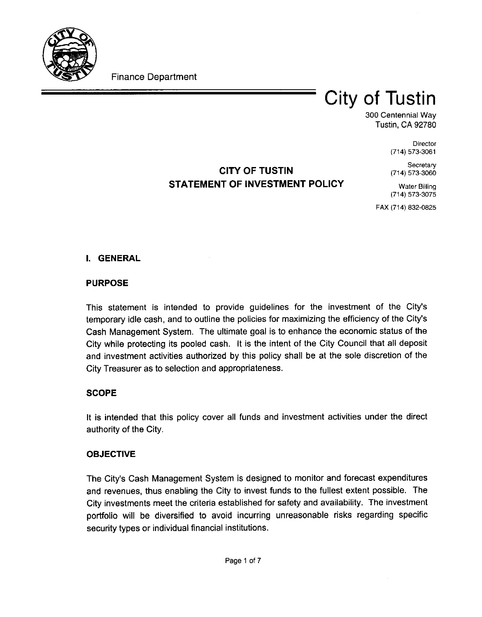

Finance Department

## City of Tustin

300 Centennial Way Tustin CA 92780

> **Director** (714) 573-3061

**Secretary** (714) 573-3060

## CITY OF TUSTIN STATEMENT OF INVESTMENT POLICY

Water Billing (714) 573-3075

FAX (714) 832-0825

### **I. GENERAL**

#### PURPOSE

PURPOSE<br>This statement is intended to provide guidelines for the investment of the City's<br>temporary idle.cash, and to outline the policies.for.maximizing the efficiency of the City's This statement is intended to provide guidelines for the investment of the City's<br>temporary idle cash, and to outline the policies for maximizing the efficiency of the City's<br>Cash Management System. The ultimate goal is to Cash Management System. The ultimate goal is to enhance the economic status of the City while protecting its pooled cash. It is the intent of the City Council that all deposit and investment activities authorized by this policy shall be at the sole discretion of the City Treasurer as to selection and appropriateness

#### **SCOPE**

It is intended that this policy cover all funds and investment activities under the direct authority of the City

#### OBJECTIVE

**UBJECTI**<br>The City's<br>and rever Cash Management System is designed to monitor and forecast expenditures and revenues, thus enabling the City to invest funds to the fullest extent possible. The City investments meet the criteria established for safety and availability. The investment portfolio will be diversified to avoid incurring unreasonable risks regarding specific security types or individual financial institutions.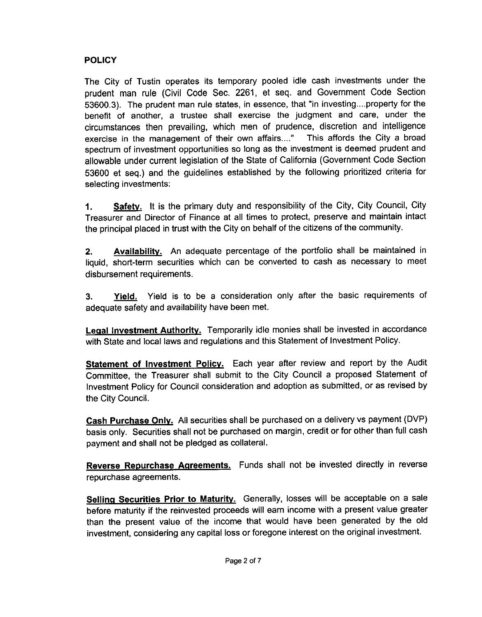### POLICY

The City of Tustin operates its temporary pooled idle cash investments under the prudent man rule (Civil Code Sec. 2261, et seq. and Government Code Section **POLICY**<br>The City<br>prudent m<br>53600.3).<br>benefit of 53600.3). The prudent man rule states, in essence, that "in investing....property for the benefit of another, a trustee shall exercise the judgment and care, under the circumstances then prevailing, which men of prudence, discretion and intelligence<br>exercise in the management of their own affairs...." This affords the City a broad exercise in the management of their own affairs...." spectrum of investment opportunities so long as the investment is deemed prudent and allowable under current legislation of the State of California Government Code Section 53600 et seq.) and the guidelines established by the following prioritized criteria for selecting investments

1. Safety. It is the primary duty and responsibility of the City, City Council, City Treasurer and Director of Finance at all times to protect, preserve and maintain intact the principal placed in trust with the City on behalf of the citizens of the community

2. Availability. An adequate percentage of the portfolio shall be maintained in liquid, short-term securities which can be converted to cash as necessary to meet disbursement requirements

3 Yield Yield is to be <sup>a</sup> consideration only after the basic requirements of adequate safety and availability have been met

Legal Investment Authority. Temporarily idle monies shall be invested in accordance with State and local laws and requlations and this Statement of Investment Policy.

Statement of Investment Policy. Each year after review and report by the Audit Committee, the Treasurer shall submit to the City Council a proposed Statement of Investment Policy for Council consideration and adoption as submitted, or as revised by the City Council

Cash Purchase Only. All securities shall be purchased on a delivery vs payment (DVP) basis only. Securities shall not be purchased on margin, credit or for other than full cash payment and shall not be pledged as collateral

Reverse Repurchase Agreements. Funds shall not be invested directly in reverse repurchase agreements

Selling Securities Prior to Maturity. Generally, losses will be acceptable on a sale before maturity if the reinvested proceeds will earn income with <sup>a</sup> present value greater than the present value of the income that would have been generated by the old investment, considering any capital loss or foregone interest on the original investment.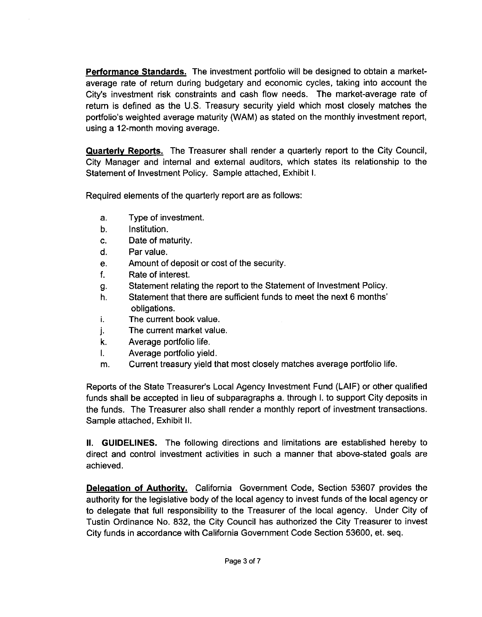**Performance Standards.** The investment portfolio will be designed to obtain a marketaverage rate of return during budgetary and economic cycles, taking into account the **Performance Standards.** The investment portfolio will be designed to obtain a market-average rate of return during budgetary and economic cycles, taking into account the City's investment risk constraints and cash flow ne City's investment risk constraints and cash flow needs. The market-average rate of return is defined as the U.S. Treasury security yield which most closely matches the portfolio's weighted average maturity (WAM) as stated on the monthly investment report, using a 12-month moving average.

Quarterly Reports. The Treasurer shall render a quarterly report to the City Council, City Manager and internal and external auditors, which states its relationship to the Statement of Investment Policy. Sample attached, Exhibit I.

Required elements of the quarterly report are as follows

- Type of investment  $a<sub>1</sub>$
- Institution  $b_{-}$
- $\mathbf{C}$ . Date of maturity.
- $\mathsf{d}$ . Par value
- Amount of deposit or cost of the security  $e_{\cdot}$
- f. Rate of interest
- Statement relating the report to the Statement of Investment Policy. q.
- Date of maturity.<br>Par value.<br>Amount of deposit or co<br>Rate of interest.<br>Statement relating the re<br>Statement that there are<br>obligations.<br>The current book value.<br>The current market value.<br>Average portfolio life. Statement that there are sufficient funds to meet the next 6 months h. obligations
- i.
- The current market value
- Average portfolio life
- Average portfolio yield
- Current treasury yield that most closely matches average portfolio life

Frace portfolio life.<br>
Reports of the State Treasurer's Local Agency Investment Fund (LAIF) or other qualified<br>
Reports of the State Treasurer's Local Agency Investment Fund (LAIF) or other qualified<br>
funds shall be accept funds shall be accepted in lieu of subparagraphs a. through I. to support City deposits in the funds. The Treasurer also shall render a monthly report of investment transactions. Sample attached, Exhibit II.

**II.** GUIDELINES. The following directions and limitations are established hereby to direct and control investment activities in such <sup>a</sup> manner that above statedgoals are achieved

**Delegation of Authority.** California Government Code, Section 53607 provides the authority for the legislative body of the local agency to invest funds of the local agency or to delegate that full responsibility to the Treasurer of the local agency Under City of Tustin Ordinance No. 832, the City Council has authorized the City Treasurer to invest City funds in accordance with California Government Code Section 53600, et. seq.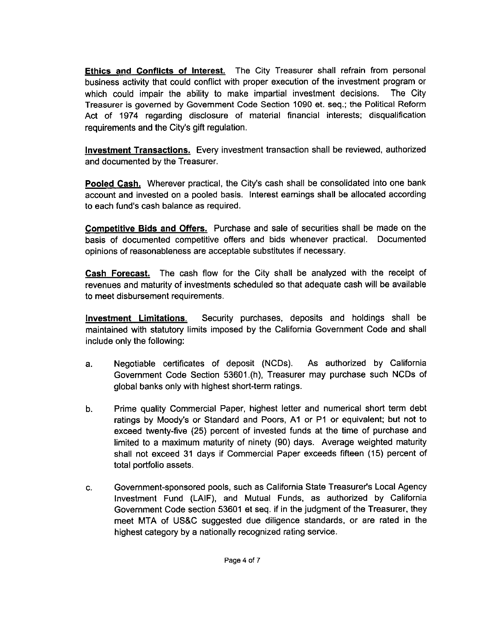Ethics and Conflicts of Interest. The City Treasurer shall refrain from personal business activity that could conflict with proper execution of the investment program or which could impair the ability to make impartial investment decisions. The City Treasurer is governed by Government Code Section 1090 et. seq.; the Political Reform Act of 1974 regarding disclosure of material financial interests; disqualification Treasurer is governed by Government Co<br>Act of 1974 regarding disclosure of<br>requirements and the City's gift regulation.

Investment Transactions. Every investment transaction shall be reviewed, authorized and documented by the Treasurer

and documented by the Treasurer.<br><mark>Pooled Cash.</mark> Wherever practical, the City's cash shall be consolidated into one bank<br>account and invested on a pooled basis.. Interest earnings shall be allocated according account and invested on a pooled basis. Interest earnings shall be allocated according **Pooled Cash.** Wherever practical, the account and invested on a pooled basis<br>to each fund's cash balance as required.

Competitive Bids and Offers. Purchase and sale of securities shall be made on the basis of documented competitive offers and bids whenever practical. Documented opinions of reasonableness are acceptable substitutes if necessary

Cash Forecast. The cash flow for the City shall be analyzed with the receipt of revenues and maturity of investments scheduled so that adequate cash will be available to meet disbursement requirements

Investment Limitations. Security purchases, deposits and holdings shall be include only the following

- maintained with statutory limits imposed by the California Government Code and shall<br>
include only the following:<br>
a. Negotiable certificates of deposit (NCDs). As authorized by California<br>
Government Code Section 53601.(h a. Negotiable certificates of deposit (NCDs). As authorized by California<br>Government Code Section 53601.(h), Treasurer may purchase such NCDs of global banks only with highest short-term ratings.
- b. Prime quality Commercial Paper, highest letter and numerical short term debt global banks only w<br>Prime quality Com<br>ratings by Moody's<br>exceed twenty-five ratings by Moody's or Standard and Poors, A1 or P1 or equivalent; but not to exceed twenty-five (25) percent of invested funds at the time of purchase and limited to a maximum maturity of pinety (00) days. Averse weighted limited to a maximum maturity of ninety (90) days. Average weighted maturity shall not exceed 31 days if Commercial Paper exceeds fifteen (15) percent of total portfolio assets exceed twenty-five (25) percent of invested funds at the time of purchase and<br>
limited to a maximum maturity of ninety (90) days. Average weighted maturity<br>
shall not exceed 31 days if Commercial Paper exceeds fifteen (15)
- Government Code section 53601 et seq. if in the judgment of the Treasurer, they Investment Fund (LAIF), and Mutual Funds, as authorized by California<br>Government Code section 53601 et seq. if in the judgment of the Treasurer, they<br>meet MTA of US&C suggested due diligence standards, or are rated in the<br> highest category by a nationally recognized rating service.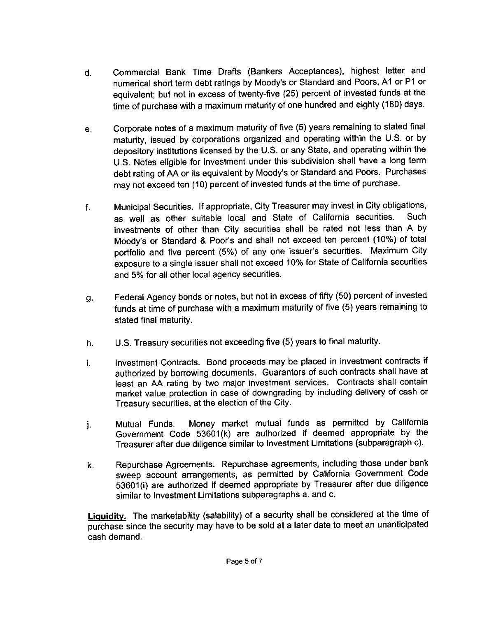- d. Commercial Bank Time Drafts (Bankers Acceptances), highest letter and Commercial Bank Time Drafts (Bankers Acceptances), highest letter and<br>numerical short term debt ratings by Moody's or Standard and Poors, A1 or P1 or<br>equivalent; but not in excess of twenty-five (25) percent of invested fu time of purchase with a maximum maturity of one hundred and eighty (180) days.
- e. Corporate notes of a maximum maturity of five (5) years remaining to stated final maturity, issued by corporations organized and operating within the U.S. or by depository institutions licensed by the U.S. or any State, and operating within the US Notes eligible for investment under this subdivision shall have <sup>a</sup> long term debt rating of AA or its equivalent by Moody's or Standard and Poors. Purchases may not exceed ten (10) percent of invested funds at the time of purchase.
- f. Municipal Securities. If appropriate, City Treasurer may invest in City obligations,<br>as well as other suitable local and State of California securities. Such as well as other suitable local and State of California securities. investments of other than City securities shall be rated not less than A by<br>Moody's or Standard & Poor's and shall not exceed ten percent (10%) of total Municipal Securities. If appropriate, City Treasurer may invest in City obligations,<br>as well as other suitable local and State of California securities. Such<br>investments of other than City securities shall be rated not les exposure to a single issuer shall not exceed 10% for State of California securities and 5% for all other local agency securities. Corporate notes of a maximum maturity of five (5) years remaining to stated final<br>maturity, issued by corporations organized and operating within the U.S. or by<br>elepository institutions licensed by the U.S. or any State, a
- q. Federal Agency bonds or notes, but not in excess of fifty (50) percent of invested funds at time of purchase with a maximum maturity of five (5) years remaining to stated final maturity
- h. U.S. Treasury securities not exceeding five (5) years to final maturity.
- i. authorized by borrowing documents. Guarantors of such contracts shall have at least an AA rating by two major investment services. Contracts shall contain market value protection in case of downgrading by including delivery of cash or Treasury securities, at the election of the City.
- j. Mutual Funds. Money market mutual funds as permitted by California<br>Government Code 53601(k) are authorized if deemed appropriate by the market value protection in case of downgrading by including delivery of cash or<br>Treasury securities, at the election of the City.<br>Mutual Funds. Money market mutual funds as permitted by California<br>Government Code 53601(k)
- k. Repurchase Agreements. Repurchase agreements, including those under bank Sweep account arrangements, as permitted by California Government Code<br>53601(i) are authorized if deemed appropriate by Treasurer after due diligence<br>similar to Investment I imitations subparagraphs a. and c. similar to Investment Limitations subparagraphs a. and c.

Liguidity. The marketability (salability) of a security shall be considered at the time of purchase since the security may have to be sold at <sup>a</sup> later date to meet an unanticipated cash demand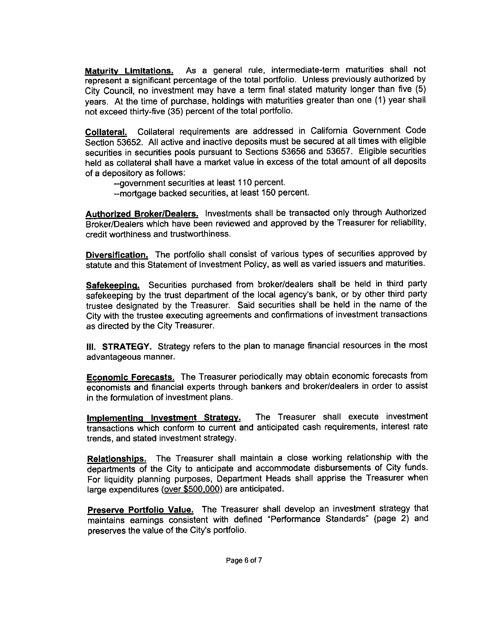Maturity Limitations. As a general rule, intermediate-term maturities shall not represent a significant percentage of the total portfolio. Unless previously authorized by City Council, no investment may have a term final stated maturity longer than five (5) years. At the time of purchase, holdings with maturities greater than one (1) year shall not exceed thirty-five (35) percent of the total portfolio.

Collateral. Collateral requirements are addressed in California Government Code Section 53652. All active and inactive deposits must be secured at all times with eligible securities in securities pools pursuant to Sections 53656 and 53657 Eligible securities held as collateral shall have a market value in excess of the total amount of all deposits of <sup>a</sup> depository as follows

--government securities at least 110 percent.

-- mortgage backed securities, at least 150 percent.

Authorized Broker/Dealers. Investments shall be transacted only through Authorized Broker/Dealers which have been reviewed and approved by the Treasurer for reliability, credit worthiness and trustworthiness

Diversification. The portfolio shall consist of various types of securities approved by statute and this Statement of Investment Policy, as well as varied issuers and maturities.

Safekeeping. Securities purchased from broker/dealers shall be held in third party safekeeping by the trust department of the local agency's bank, or by other third party **Diversification.** The portfolio shall consist of various types of securities approved by statute and this Statement of Investment Policy, as well as varied issuers and maturities. Safekeeping. Securities purchased from br City with the trustee executing agreements and confirmations of investment transactions as directed by the City Treasurer

III. STRATEGY. Strategy refers to the plan to manage financial resources in the most advantageous manner

Economic Forecasts. The Treasurer periodically may obtain economic forecasts from economists and financial experts through bankers and broker/dealers in order to assist in the formulation of investment plans

Implementing Investment Strategy. The Treasurer shall execute investment transactions which conform to current and anticipated cash requirements, interest rate trends, and stated investment strategy.

Relationships. The Treasurer shall maintain a close working relationship with the departments of the City to anticipate and accommodate disbursements of City funds For liquidity planning purposes, Department Heads shall apprise the Treasurer when large expenditures (over \$500,000) are anticipated.

Preserve Portfolio Value. The Treasurer shall develop an investment strategy that maintains earnings consistent with defined "Performance Standards" (page 2) and Preserve Portfolio Value. The Treasu<br>maintains earnings consistent with def<br>preserves the value of the City's portfolio.